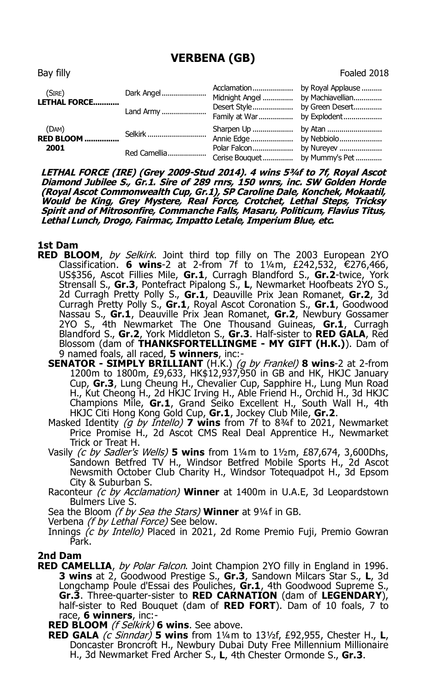## **VERBENA (GB)**

| Bay filly              |            |                                  | Foaled 2018 |
|------------------------|------------|----------------------------------|-------------|
| (SIRE)<br>LETHAL FORCE | Dark Angel | Midnight Angel  by Machiavellian |             |
|                        | Land Army  |                                  |             |

by Explodent.. (DAM) **RED BLOOM ................** Selkirk............................. Sharpen Up .................... by Atan ........................... Annie Edge..................... by Nebbiolo.....................  **2001** Red Camellia................... Polar Falcon.................... by Nureyev ..................... Cerise Bouquet............... by Mummy's Pet.............

**LETHAL FORCE (IRE) (Grey 2009-Stud 2014). 4 wins 5¾f to 7f, Royal Ascot Diamond Jubilee S., Gr.1. Sire of 289 rnrs, 150 wnrs, inc. SW Golden Horde (Royal Ascot Commonwealth Cup, Gr.1), SP Caroline Dale, Konchek, Mokaatil, Would be King, Grey Mystere, Real Force, Crotchet, Lethal Steps, Tricksy Spirit and of Mitrosonfire, Commanche Falls, Masaru, Politicum, Flavius Titus, Lethal Lunch, Drogo, Fairmac, Impatto Letale, Imperium Blue, etc.**

## **1st Dam**

- RED BLOOM, by Selkirk. Joint third top filly on The 2003 European 2YO Classification. **6 wins**-2 at 2-from 7f to 1¼m, £242,532, €276,466, US\$356, Ascot Fillies Mile, **Gr.1**, Curragh Blandford S., **Gr.2**-twice, York Strensall S., **Gr.3**, Pontefract Pipalong S., **L**, Newmarket Hoofbeats 2YO S., 2d Curragh Pretty Polly S., **Gr.1**, Deauville Prix Jean Romanet, **Gr.2**, 3d Curragh Pretty Polly S., **Gr.1**, Royal Ascot Coronation S., **Gr.1**, Goodwood Nassau S., **Gr.1**, Deauville Prix Jean Romanet, **Gr.2**, Newbury Gossamer 2YO S., 4th Newmarket The One Thousand Guineas, **Gr.1**, Curragh Blandford S., **Gr.2**, York Middleton S., **Gr.3**. Half-sister to **RED GALA**, Red Blossom (dam of **THANKSFORTELLINGME - MY GIFT (H.K.)**). Dam of 9 named foals, all raced, **5 winners**, inc:-
	- **SENATOR SIMPLY BRILLIANT** (H.K.) (g by Frankel) **8 wins**-2 at 2-from 1200m to 1800m, £9,633, HK\$12,937,950 in GB and HK, HKJC January Cup, **Gr.3**, Lung Cheung H., Chevalier Cup, Sapphire H., Lung Mun Road H., Kut Cheong H., 2d HKJC Irving H., Able Friend H., Orchid H., 3d HKJC Champions Mile, **Gr.1**, Grand Seiko Excellent H., South Wall H., 4th HKJC Citi Hong Kong Gold Cup, **Gr.1**, Jockey Club Mile, **Gr.2**.
	- Masked Identity (g by Intello) **7 wins** from 7f to 834f to 2021, Newmarket Price Promise H., 2d Ascot CMS Real Deal Apprentice H., Newmarket Trick or Treat H.
	- Vasily (c by Sadler's Wells) **5 wins** from 1¼m to 1½m, £87,674, 3,600Dhs, Sandown Betfred TV H., Windsor Betfred Mobile Sports H., 2d Ascot Newsmith October Club Charity H., Windsor Totequadpot H., 3d Epsom City & Suburban S.
	- Raconteur (c by Acclamation) **Winner** at 1400m in U.A.E, 3d Leopardstown Bulmers Live S.

Sea the Bloom (f by Sea the Stars) **Winner** at 9¼f in GB.

Verbena (f by Lethal Force) See below.

Innings  $\hat{C}$  by Intello) Placed in 2021, 2d Rome Premio Fuji, Premio Gowran Park.

## **2nd Dam**

**RED CAMELLIA**, by Polar Falcon. Joint Champion 2YO filly in England in 1996. **3 wins** at 2, Goodwood Prestige S., **Gr.3**, Sandown Milcars Star S., **L**, 3d Longchamp Poule d'Essai des Pouliches, **Gr.1**, 4th Goodwood Supreme S., **Gr.3**. Three-quarter-sister to **RED CARNATION** (dam of **LEGENDARY**), half-sister to Red Bouquet (dam of **RED FORT**). Dam of 10 foals, 7 to race, **6 winners**, inc:-

**RED BLOOM** (f Selkirk) **6 wins**. See above.

**RED GALA** (c Sinndar) **5 wins** from 1¼m to 13½f, £92,955, Chester H., **L**, Doncaster Broncroft H., Newbury Dubai Duty Free Millennium Millionaire H., 3d Newmarket Fred Archer S., **L**, 4th Chester Ormonde S., **Gr.3**.